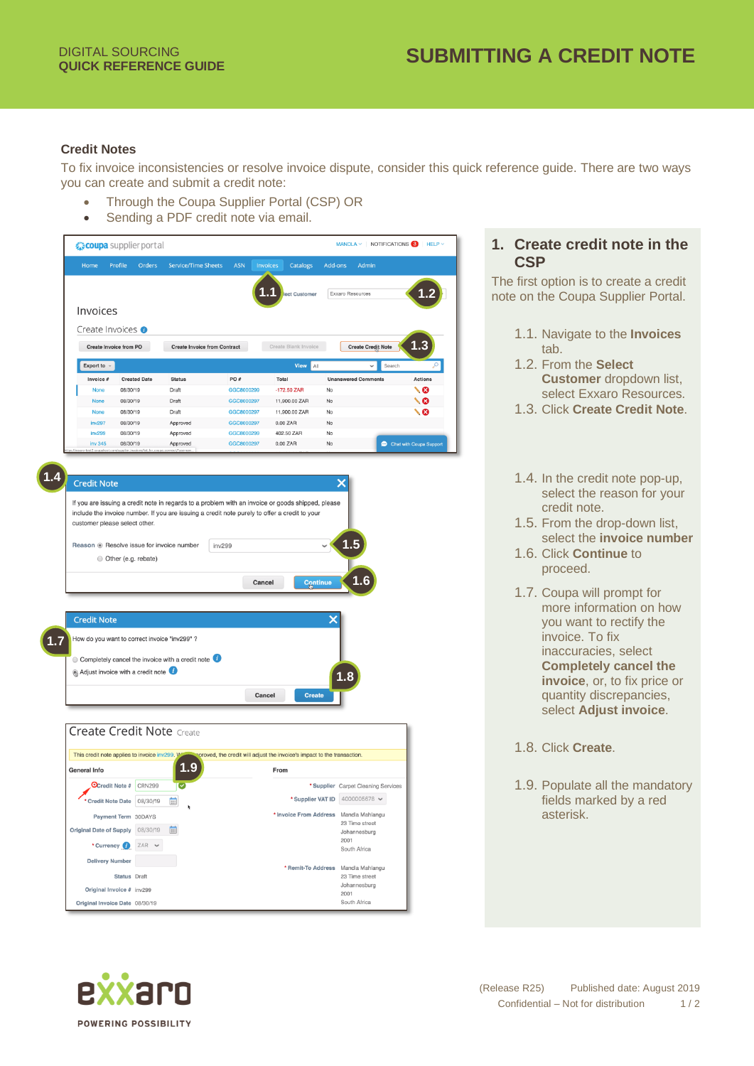## **Credit Notes**

To fix invoice inconsistencies or resolve invoice dispute, consider this quick reference guide. There are two ways you can create and submit a credit note:

- Through the Coupa Supplier Portal (CSP) OR
- Sending a PDF credit note via email.



| <b>Credit Note</b>                            |                                                                                                                                                                                                    |        |        |                                                                         | ×                                   |
|-----------------------------------------------|----------------------------------------------------------------------------------------------------------------------------------------------------------------------------------------------------|--------|--------|-------------------------------------------------------------------------|-------------------------------------|
| customer please select other.                 | If you are issuing a credit note in regards to a problem with an invoice or goods shipped, please<br>include the invoice number. If you are issuing a credit note purely to offer a credit to your |        |        |                                                                         |                                     |
|                                               | Reason . Resolve issue for invoice number                                                                                                                                                          | inv299 |        |                                                                         | 1.5                                 |
| Other (e.g. rebate)                           |                                                                                                                                                                                                    |        |        |                                                                         |                                     |
|                                               |                                                                                                                                                                                                    |        | Cancel | Continue                                                                |                                     |
| <b>Credit Note</b>                            |                                                                                                                                                                                                    |        |        | x                                                                       |                                     |
|                                               |                                                                                                                                                                                                    |        |        |                                                                         |                                     |
|                                               | How do you want to correct invoice "inv299" ?                                                                                                                                                      |        |        |                                                                         |                                     |
|                                               | Completely cancel the invoice with a credit note                                                                                                                                                   |        |        |                                                                         |                                     |
| Adjust invoice with a credit note             |                                                                                                                                                                                                    |        |        |                                                                         | 1.8                                 |
|                                               |                                                                                                                                                                                                    |        |        |                                                                         |                                     |
|                                               |                                                                                                                                                                                                    |        |        |                                                                         |                                     |
|                                               |                                                                                                                                                                                                    |        | Cancel | <b>Create</b>                                                           |                                     |
|                                               |                                                                                                                                                                                                    |        |        |                                                                         |                                     |
|                                               | <b>Create Credit Note Create</b>                                                                                                                                                                   |        |        |                                                                         |                                     |
|                                               |                                                                                                                                                                                                    |        |        |                                                                         |                                     |
| This credit note applies to invoice inv299. M |                                                                                                                                                                                                    |        |        | proved, the credit will adjust the invoice's impact to the transaction. |                                     |
| <b>General Info</b>                           | <u>1.9</u>                                                                                                                                                                                         |        |        | From                                                                    |                                     |
| OCredit Note #                                | <b>CRN299</b>                                                                                                                                                                                      |        |        |                                                                         | * Supplier Carpet Cleaning Services |
| Credit Note Date 08/30/19                     | 苗                                                                                                                                                                                                  |        |        | * Supplier VAT ID                                                       | 4000005678 ₩                        |
| Payment Term 30DAYS                           |                                                                                                                                                                                                    |        |        | * Invoice From Address                                                  | Mandla Mahlangu<br>23 Time street   |
| <b>Original Date of Supply</b>                | 08/30/19<br>E                                                                                                                                                                                      |        |        |                                                                         | Johannesburg                        |
| * Currency (2)                                | $ZAR \sim$                                                                                                                                                                                         |        |        |                                                                         | 2001<br>South Africa                |
| <b>Delivery Number</b>                        |                                                                                                                                                                                                    |        |        |                                                                         |                                     |
| <b>Status</b> Draft                           |                                                                                                                                                                                                    |        |        | * Remit-To Address                                                      | Mandla Mahlangu<br>23 Time street   |
| Original Invoice # inv299                     |                                                                                                                                                                                                    |        |        |                                                                         | Johannesburg<br>2001                |

**1. Create credit note in the CSP**

The first option is to create a credit note on the Coupa Supplier Portal.

- 1.1. Navigate to the **Invoices** tab.
- 1.2. From the **Select Customer** dropdown list, select Exxaro Resources.
- 1.3. Click **Create Credit Note**.
- 1.4. In the credit note pop-up, select the reason for your credit note.
- 1.5. From the drop-down list, select the **invoice number**
- 1.6. Click **Continue** to proceed.
- 1.7. Coupa will prompt for more information on how you want to rectify the invoice. To fix inaccuracies, select **Completely cancel the invoice**, or, to fix price or quantity discrepancies, select **Adjust invoice**.
- 1.8. Click **Create**.
- 1.9. Populate all the mandatory fields marked by a red asterisk.